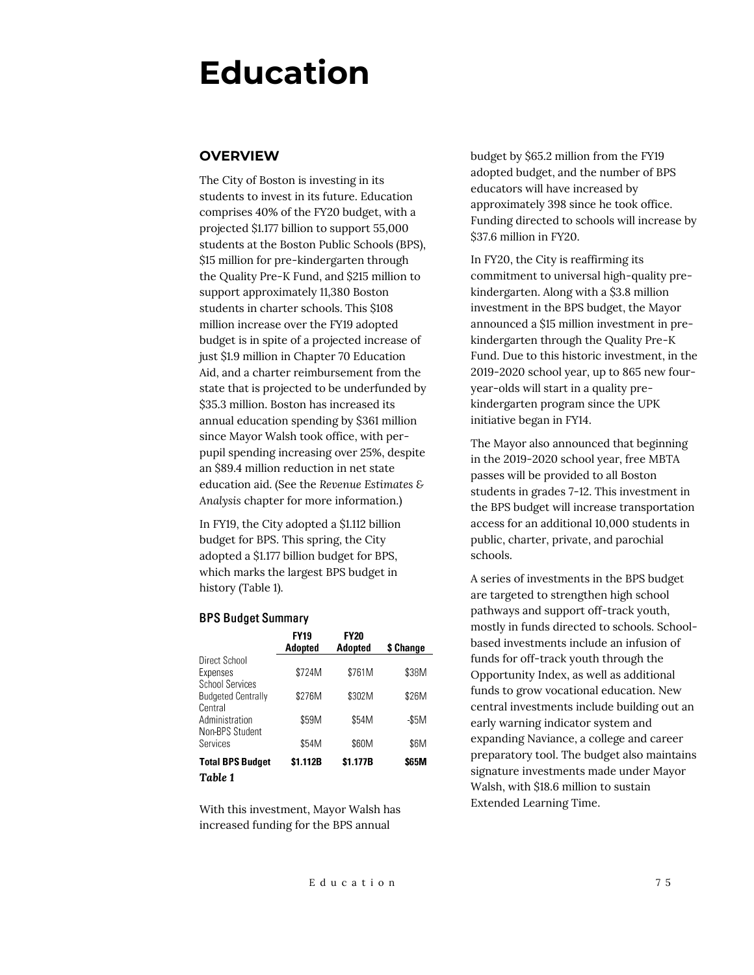# **Education**

## **OVERVIEW**

The City of Boston is investing in its students to invest in its future. Education comprises 40% of the FY20 budget, with a projected \$1.177 billion to support 55,000 students at the Boston Public Schools (BPS), \$15 million for pre-kindergarten through the Quality Pre-K Fund, and \$215 million to support approximately 11,380 Boston students in charter schools. This \$108 million increase over the FY19 adopted budget is in spite of a projected increase of just \$1.9 million in Chapter 70 Education Aid, and a charter reimbursement from the state that is projected to be underfunded by \$35.3 million. Boston has increased its annual education spending by \$361 million since Mayor Walsh took office, with perpupil spending increasing over 25%, despite an \$89.4 million reduction in net state education aid. (See the *Revenue Estimates & Analysis* chapter for more information.)

In FY19, the City adopted a \$1.112 billion budget for BPS. This spring, the City adopted a \$1.177 billion budget for BPS, which marks the largest BPS budget in history (Table 1).

#### **BPS Budget Summary**

|                                                     | <b>FY19</b><br><b>Adopted</b> | <b>FY20</b><br>Adopted | \$ Change |
|-----------------------------------------------------|-------------------------------|------------------------|-----------|
| Direct School<br>Expenses<br><b>School Services</b> | \$724M                        | \$761M                 | \$38M     |
| <b>Budgeted Centrally</b><br>Central                | \$276M                        | \$302M                 | \$26M     |
| Administration<br>Non-BPS Student                   | \$59M                         | \$54M                  | -\$5M     |
| Services                                            | \$54M                         | \$60M                  | \$6M      |
| <b>Total BPS Budget</b><br>Table 1                  | \$1.112B                      | \$1.177B               | \$65M     |

With this investment, Mayor Walsh has increased funding for the BPS annual

budget by \$65.2 million from the FY19 adopted budget, and the number of BPS educators will have increased by approximately 398 since he took office. Funding directed to schools will increase by \$37.6 million in FY20.

In FY20, the City is reaffirming its commitment to universal high-quality prekindergarten. Along with a \$3.8 million investment in the BPS budget, the Mayor announced a \$15 million investment in prekindergarten through the Quality Pre-K Fund. Due to this historic investment, in the 2019-2020 school year, up to 865 new fouryear-olds will start in a quality prekindergarten program since the UPK initiative began in FY14.

The Mayor also announced that beginning in the 2019-2020 school year, free MBTA passes will be provided to all Boston students in grades 7-12. This investment in the BPS budget will increase transportation access for an additional 10,000 students in public, charter, private, and parochial schools.

A series of investments in the BPS budget are targeted to strengthen high school pathways and support off-track youth, mostly in funds directed to schools. Schoolbased investments include an infusion of funds for off-track youth through the Opportunity Index, as well as additional funds to grow vocational education. New central investments include building out an early warning indicator system and expanding Naviance, a college and career preparatory tool. The budget also maintains signature investments made under Mayor Walsh, with \$18.6 million to sustain Extended Learning Time.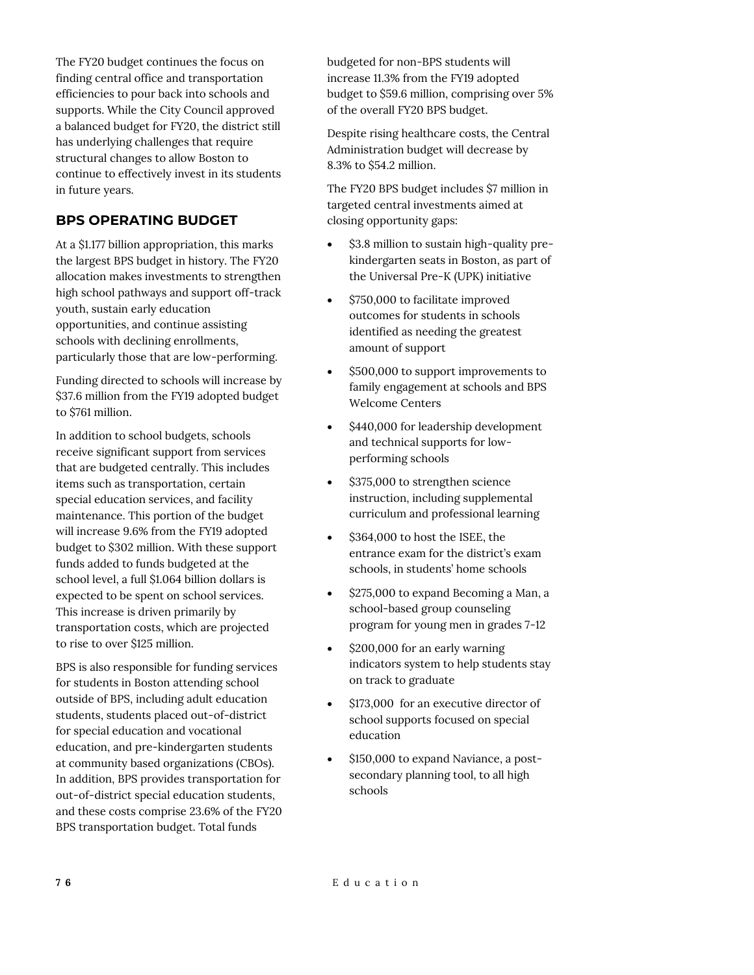The FY20 budget continues the focus on finding central office and transportation efficiencies to pour back into schools and supports. While the City Council approved a balanced budget for FY20, the district still has underlying challenges that require structural changes to allow Boston to continue to effectively invest in its students in future years.

# **BPS OPERATING BUDGET**

At a \$1.177 billion appropriation, this marks the largest BPS budget in history. The FY20 allocation makes investments to strengthen high school pathways and support off-track youth, sustain early education opportunities, and continue assisting schools with declining enrollments, particularly those that are low-performing.

Funding directed to schools will increase by \$37.6 million from the FY19 adopted budget to \$761 million.

In addition to school budgets, schools receive significant support from services that are budgeted centrally. This includes items such as transportation, certain special education services, and facility maintenance. This portion of the budget will increase 9.6% from the FY19 adopted budget to \$302 million. With these support funds added to funds budgeted at the school level, a full \$1.064 billion dollars is expected to be spent on school services. This increase is driven primarily by transportation costs, which are projected to rise to over \$125 million.

BPS is also responsible for funding services for students in Boston attending school outside of BPS, including adult education students, students placed out-of-district for special education and vocational education, and pre-kindergarten students at community based organizations (CBOs). In addition, BPS provides transportation for out-of-district special education students, and these costs comprise 23.6% of the FY20 BPS transportation budget. Total funds

budgeted for non-BPS students will increase 11.3% from the FY19 adopted budget to \$59.6 million, comprising over 5% of the overall FY20 BPS budget.

Despite rising healthcare costs, the Central Administration budget will decrease by 8.3% to \$54.2 million.

The FY20 BPS budget includes \$7 million in targeted central investments aimed at closing opportunity gaps:

- \$3.8 million to sustain high-quality prekindergarten seats in Boston, as part of the Universal Pre-K (UPK) initiative
- \$750,000 to facilitate improved outcomes for students in schools identified as needing the greatest amount of support
- \$500,000 to support improvements to family engagement at schools and BPS Welcome Centers
- \$440,000 for leadership development and technical supports for lowperforming schools
- \$375,000 to strengthen science instruction, including supplemental curriculum and professional learning
- \$364,000 to host the ISEE, the entrance exam for the district's exam schools, in students' home schools
- \$275,000 to expand Becoming a Man, a school-based group counseling program for young men in grades 7-12
- \$200,000 for an early warning indicators system to help students stay on track to graduate
- $\bullet$  \$173,000 for an executive director of school supports focused on special education
- \$150,000 to expand Naviance, a postsecondary planning tool, to all high schools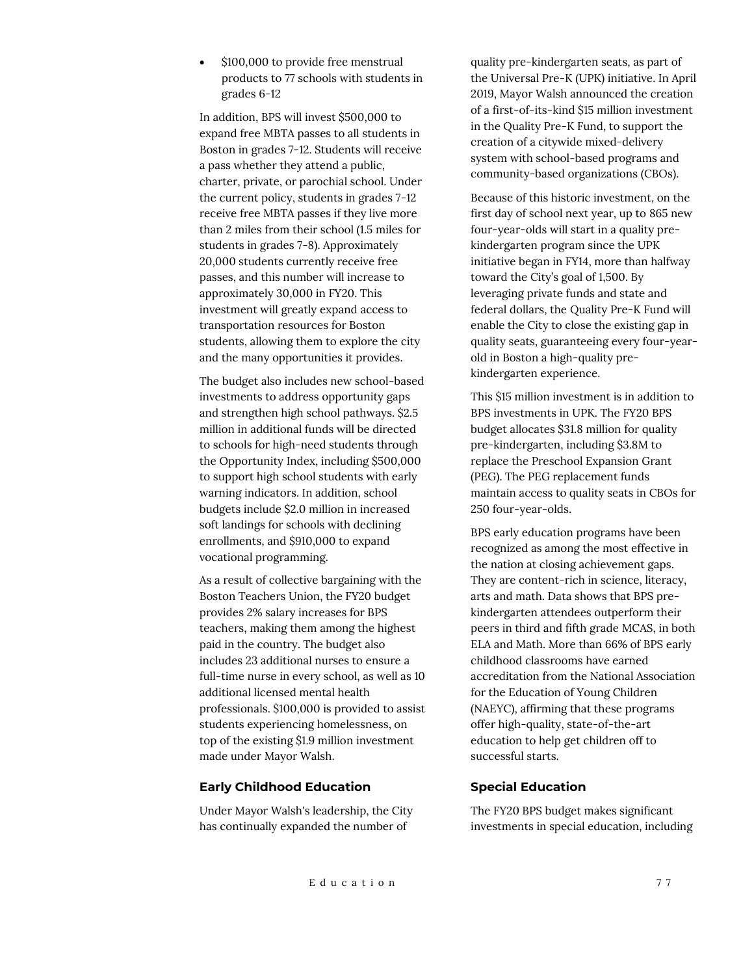\$100,000 to provide free menstrual products to 77 schools with students in grades 6-12

In addition, BPS will invest \$500,000 to expand free MBTA passes to all students in Boston in grades 7-12. Students will receive a pass whether they attend a public, charter, private, or parochial school. Under the current policy, students in grades 7-12 receive free MBTA passes if they live more than 2 miles from their school (1.5 miles for students in grades 7-8). Approximately 20,000 students currently receive free passes, and this number will increase to approximately 30,000 in FY20. This investment will greatly expand access to transportation resources for Boston students, allowing them to explore the city and the many opportunities it provides.

The budget also includes new school-based investments to address opportunity gaps and strengthen high school pathways. \$2.5 million in additional funds will be directed to schools for high-need students through the Opportunity Index, including \$500,000 to support high school students with early warning indicators. In addition, school budgets include \$2.0 million in increased soft landings for schools with declining enrollments, and \$910,000 to expand vocational programming.

As a result of collective bargaining with the Boston Teachers Union, the FY20 budget provides 2% salary increases for BPS teachers, making them among the highest paid in the country. The budget also includes 23 additional nurses to ensure a full-time nurse in every school, as well as 10 additional licensed mental health professionals. \$100,000 is provided to assist students experiencing homelessness, on top of the existing \$1.9 million investment made under Mayor Walsh.

#### **Early Childhood Education**

Under Mayor Walsh's leadership, the City has continually expanded the number of

quality pre-kindergarten seats, as part of the Universal Pre-K (UPK) initiative. In April 2019, Mayor Walsh announced the creation of a first-of-its-kind \$15 million investment in the Quality Pre-K Fund, to support the creation of a citywide mixed-delivery system with school-based programs and community-based organizations (CBOs).

Because of this historic investment, on the first day of school next year, up to 865 new four-year-olds will start in a quality prekindergarten program since the UPK initiative began in FY14, more than halfway toward the City's goal of 1,500. By leveraging private funds and state and federal dollars, the Quality Pre-K Fund will enable the City to close the existing gap in quality seats, guaranteeing every four-yearold in Boston a high-quality prekindergarten experience.

This \$15 million investment is in addition to BPS investments in UPK. The FY20 BPS budget allocates \$31.8 million for quality pre-kindergarten, including \$3.8M to replace the Preschool Expansion Grant (PEG). The PEG replacement funds maintain access to quality seats in CBOs for 250 four-year-olds.

BPS early education programs have been recognized as among the most effective in the nation at closing achievement gaps. They are content-rich in science, literacy, arts and math. Data shows that BPS prekindergarten attendees outperform their peers in third and fifth grade MCAS, in both ELA and Math. More than 66% of BPS early childhood classrooms have earned accreditation from the National Association for the Education of Young Children (NAEYC), affirming that these programs offer high-quality, state-of-the-art education to help get children off to successful starts.

#### **Special Education**

The FY20 BPS budget makes significant investments in special education, including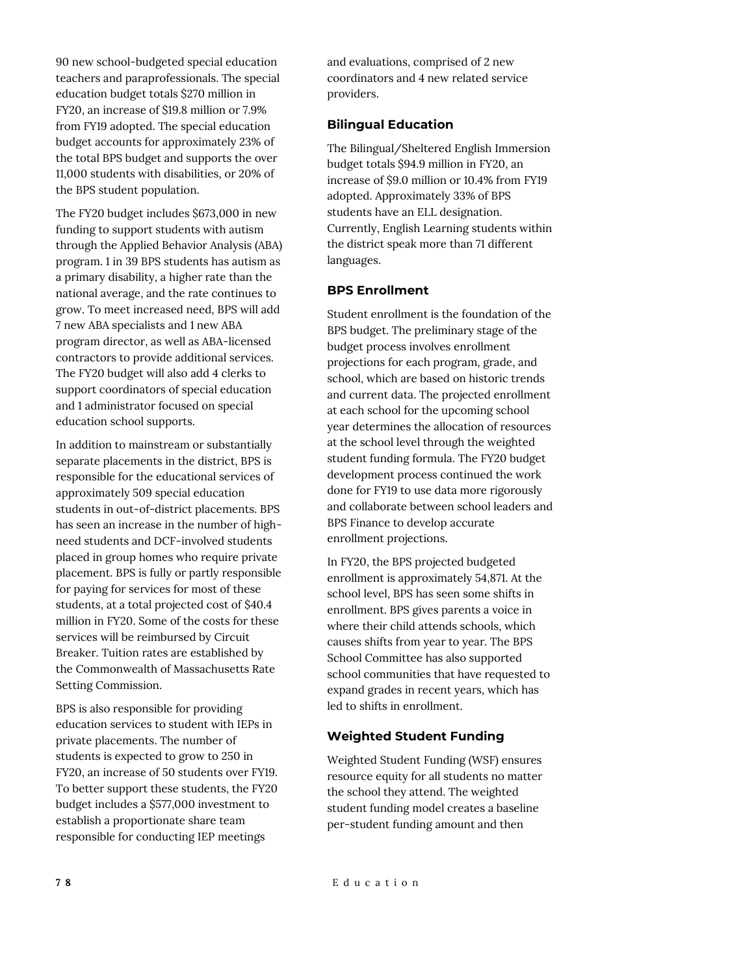90 new school-budgeted special education teachers and paraprofessionals. The special education budget totals \$270 million in FY20, an increase of \$19.8 million or 7.9% from FY19 adopted. The special education budget accounts for approximately 23% of the total BPS budget and supports the over 11,000 students with disabilities, or 20% of the BPS student population.

The FY20 budget includes \$673,000 in new funding to support students with autism through the Applied Behavior Analysis (ABA) program. 1 in 39 BPS students has autism as a primary disability, a higher rate than the national average, and the rate continues to grow. To meet increased need, BPS will add 7 new ABA specialists and 1 new ABA program director, as well as ABA-licensed contractors to provide additional services. The FY20 budget will also add 4 clerks to support coordinators of special education and 1 administrator focused on special education school supports.

In addition to mainstream or substantially separate placements in the district, BPS is responsible for the educational services of approximately 509 special education students in out-of-district placements. BPS has seen an increase in the number of highneed students and DCF-involved students placed in group homes who require private placement. BPS is fully or partly responsible for paying for services for most of these students, at a total projected cost of \$40.4 million in FY20. Some of the costs for these services will be reimbursed by Circuit Breaker. Tuition rates are established by the Commonwealth of Massachusetts Rate Setting Commission.

BPS is also responsible for providing education services to student with IEPs in private placements. The number of students is expected to grow to 250 in FY20, an increase of 50 students over FY19. To better support these students, the FY20 budget includes a \$577,000 investment to establish a proportionate share team responsible for conducting IEP meetings

and evaluations, comprised of 2 new coordinators and 4 new related service providers.

## **Bilingual Education**

The Bilingual/Sheltered English Immersion budget totals \$94.9 million in FY20, an increase of \$9.0 million or 10.4% from FY19 adopted. Approximately 33% of BPS students have an ELL designation. Currently, English Learning students within the district speak more than 71 different languages.

# **BPS Enrollment**

Student enrollment is the foundation of the BPS budget. The preliminary stage of the budget process involves enrollment projections for each program, grade, and school, which are based on historic trends and current data. The projected enrollment at each school for the upcoming school year determines the allocation of resources at the school level through the weighted student funding formula. The FY20 budget development process continued the work done for FY19 to use data more rigorously and collaborate between school leaders and BPS Finance to develop accurate enrollment projections.

In FY20, the BPS projected budgeted enrollment is approximately 54,871. At the school level, BPS has seen some shifts in enrollment. BPS gives parents a voice in where their child attends schools, which causes shifts from year to year. The BPS School Committee has also supported school communities that have requested to expand grades in recent years, which has led to shifts in enrollment.

# **Weighted Student Funding**

Weighted Student Funding (WSF) ensures resource equity for all students no matter the school they attend. The weighted student funding model creates a baseline per-student funding amount and then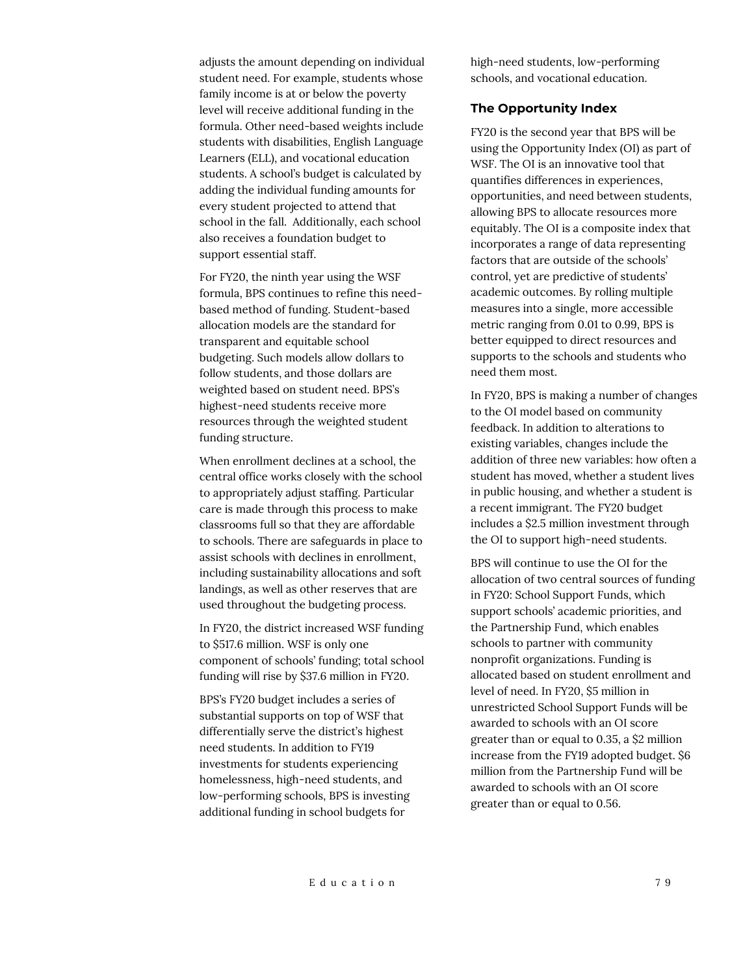adjusts the amount depending on individual student need. For example, students whose family income is at or below the poverty level will receive additional funding in the formula. Other need-based weights include students with disabilities, English Language Learners (ELL), and vocational education students. A school's budget is calculated by adding the individual funding amounts for every student projected to attend that school in the fall. Additionally, each school also receives a foundation budget to support essential staff.

For FY20, the ninth year using the WSF formula, BPS continues to refine this needbased method of funding. Student-based allocation models are the standard for transparent and equitable school budgeting. Such models allow dollars to follow students, and those dollars are weighted based on student need. BPS's highest-need students receive more resources through the weighted student funding structure.

When enrollment declines at a school, the central office works closely with the school to appropriately adjust staffing. Particular care is made through this process to make classrooms full so that they are affordable to schools. There are safeguards in place to assist schools with declines in enrollment, including sustainability allocations and soft landings, as well as other reserves that are used throughout the budgeting process.

In FY20, the district increased WSF funding to \$517.6 million. WSF is only one component of schools' funding; total school funding will rise by \$37.6 million in FY20.

BPS's FY20 budget includes a series of substantial supports on top of WSF that differentially serve the district's highest need students. In addition to FY19 investments for students experiencing homelessness, high-need students, and low-performing schools, BPS is investing additional funding in school budgets for

high-need students, low-performing schools, and vocational education.

#### **The Opportunity Index**

FY20 is the second year that BPS will be using the Opportunity Index (OI) as part of WSF. The OI is an innovative tool that quantifies differences in experiences, opportunities, and need between students, allowing BPS to allocate resources more equitably. The OI is a composite index that incorporates a range of data representing factors that are outside of the schools' control, yet are predictive of students' academic outcomes. By rolling multiple measures into a single, more accessible metric ranging from 0.01 to 0.99, BPS is better equipped to direct resources and supports to the schools and students who need them most.

In FY20, BPS is making a number of changes to the OI model based on community feedback. In addition to alterations to existing variables, changes include the addition of three new variables: how often a student has moved, whether a student lives in public housing, and whether a student is a recent immigrant. The FY20 budget includes a \$2.5 million investment through the OI to support high-need students.

BPS will continue to use the OI for the allocation of two central sources of funding in FY20: School Support Funds, which support schools' academic priorities, and the Partnership Fund, which enables schools to partner with community nonprofit organizations. Funding is allocated based on student enrollment and level of need. In FY20, \$5 million in unrestricted School Support Funds will be awarded to schools with an OI score greater than or equal to 0.35, a \$2 million increase from the FY19 adopted budget. \$6 million from the Partnership Fund will be awarded to schools with an OI score greater than or equal to 0.56.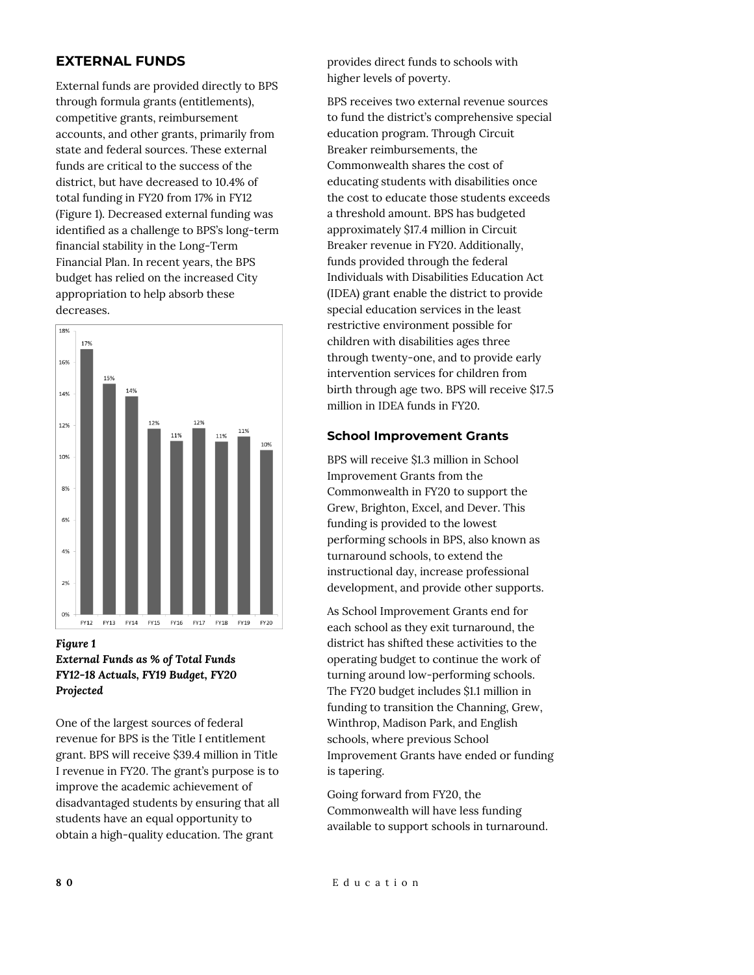# **EXTERNAL FUNDS**

External funds are provided directly to BPS through formula grants (entitlements), competitive grants, reimbursement accounts, and other grants, primarily from state and federal sources. These external funds are critical to the success of the district, but have decreased to 10.4% of total funding in FY20 from 17% in FY12 (Figure 1). Decreased external funding was identified as a challenge to BPS's long-term financial stability in the Long-Term Financial Plan. In recent years, the BPS budget has relied on the increased City appropriation to help absorb these decreases.



## *Figure 1 External Funds as % of Total Funds FY12-18 Actuals, FY19 Budget, FY20 Projected*

One of the largest sources of federal revenue for BPS is the Title I entitlement grant. BPS will receive \$39.4 million in Title I revenue in FY20. The grant's purpose is to improve the academic achievement of disadvantaged students by ensuring that all students have an equal opportunity to obtain a high-quality education. The grant

provides direct funds to schools with higher levels of poverty.

BPS receives two external revenue sources to fund the district's comprehensive special education program. Through Circuit Breaker reimbursements, the Commonwealth shares the cost of educating students with disabilities once the cost to educate those students exceeds a threshold amount. BPS has budgeted approximately \$17.4 million in Circuit Breaker revenue in FY20. Additionally, funds provided through the federal Individuals with Disabilities Education Act (IDEA) grant enable the district to provide special education services in the least restrictive environment possible for children with disabilities ages three through twenty-one, and to provide early intervention services for children from birth through age two. BPS will receive \$17.5 million in IDEA funds in FY20.

# **School Improvement Grants**

BPS will receive \$1.3 million in School Improvement Grants from the Commonwealth in FY20 to support the Grew, Brighton, Excel, and Dever. This funding is provided to the lowest performing schools in BPS, also known as turnaround schools, to extend the instructional day, increase professional development, and provide other supports.

As School Improvement Grants end for each school as they exit turnaround, the district has shifted these activities to the operating budget to continue the work of turning around low-performing schools. The FY20 budget includes \$1.1 million in funding to transition the Channing, Grew, Winthrop, Madison Park, and English schools, where previous School Improvement Grants have ended or funding is tapering.

Going forward from FY20, the Commonwealth will have less funding available to support schools in turnaround.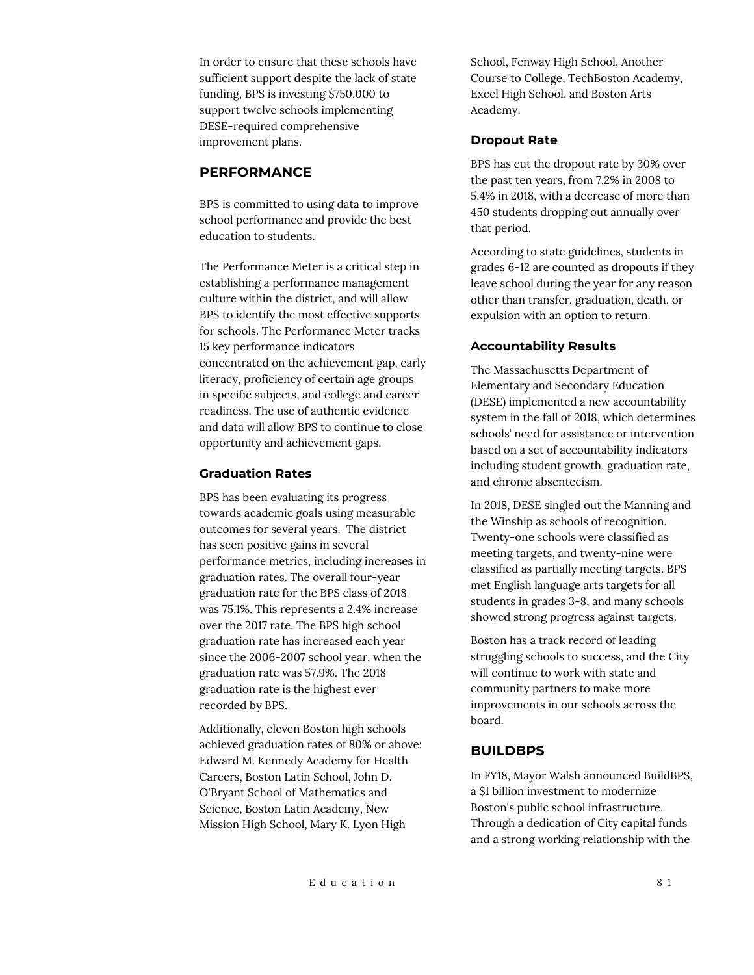In order to ensure that these schools have sufficient support despite the lack of state funding, BPS is investing \$750,000 to support twelve schools implementing DESE-required comprehensive improvement plans.

# **PERFORMANCE**

BPS is committed to using data to improve school performance and provide the best education to students.

The Performance Meter is a critical step in establishing a performance management culture within the district, and will allow BPS to identify the most effective supports for schools. The Performance Meter tracks 15 key performance indicators concentrated on the achievement gap, early literacy, proficiency of certain age groups in specific subjects, and college and career readiness. The use of authentic evidence and data will allow BPS to continue to close opportunity and achievement gaps.

### **Graduation Rates**

BPS has been evaluating its progress towards academic goals using measurable outcomes for several years. The district has seen positive gains in several performance metrics, including increases in graduation rates. The overall four-year graduation rate for the BPS class of 2018 was 75.1%. This represents a 2.4% increase over the 2017 rate. The BPS high school graduation rate has increased each year since the 2006-2007 school year, when the graduation rate was 57.9%. The 2018 graduation rate is the highest ever recorded by BPS.

Additionally, eleven Boston high schools achieved graduation rates of 80% or above: Edward M. Kennedy Academy for Health Careers, Boston Latin School, John D. O'Bryant School of Mathematics and Science, Boston Latin Academy, New Mission High School, Mary K. Lyon High

School, Fenway High School, Another Course to College, TechBoston Academy, Excel High School, and Boston Arts Academy.

### **Dropout Rate**

BPS has cut the dropout rate by 30% over the past ten years, from 7.2% in 2008 to 5.4% in 2018, with a decrease of more than 450 students dropping out annually over that period.

According to state guidelines, students in grades 6-12 are counted as dropouts if they leave school during the year for any reason other than transfer, graduation, death, or expulsion with an option to return.

# **Accountability Results**

The Massachusetts Department of Elementary and Secondary Education (DESE) implemented a new accountability system in the fall of 2018, which determines schools' need for assistance or intervention based on a set of accountability indicators including student growth, graduation rate, and chronic absenteeism.

In 2018, DESE singled out the Manning and the Winship as schools of recognition. Twenty-one schools were classified as meeting targets, and twenty-nine were classified as partially meeting targets. BPS met English language arts targets for all students in grades 3-8, and many schools showed strong progress against targets.

Boston has a track record of leading struggling schools to success, and the City will continue to work with state and community partners to make more improvements in our schools across the board.

# **BUILDBPS**

In FY18, Mayor Walsh announced BuildBPS, a \$1 billion investment to modernize Boston's public school infrastructure. Through a dedication of City capital funds and a strong working relationship with the